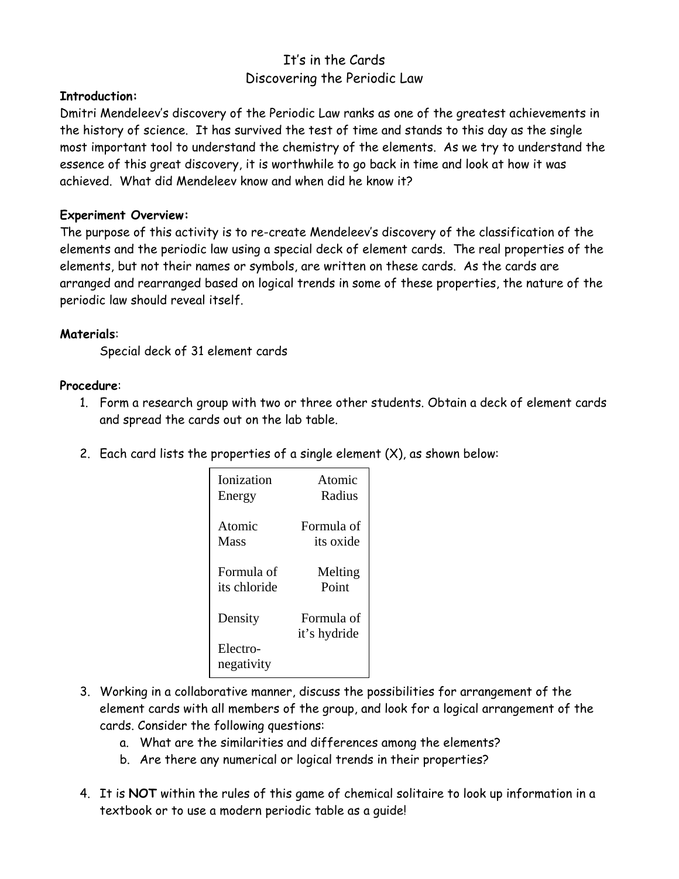# It's in the Cards Discovering the Periodic Law

## **Introduction:**

Dmitri Mendeleev's discovery of the Periodic Law ranks as one of the greatest achievements in the history of science. It has survived the test of time and stands to this day as the single most important tool to understand the chemistry of the elements. As we try to understand the essence of this great discovery, it is worthwhile to go back in time and look at how it was achieved. What did Mendeleev know and when did he know it?

#### **Experiment Overview:**

The purpose of this activity is to re-create Mendeleev's discovery of the classification of the elements and the periodic law using a special deck of element cards. The real properties of the elements, but not their names or symbols, are written on these cards. As the cards are arranged and rearranged based on logical trends in some of these properties, the nature of the periodic law should reveal itself.

#### **Materials**:

Special deck of 31 element cards

#### **Procedure**:

- 1. Form a research group with two or three other students. Obtain a deck of element cards and spread the cards out on the lab table.
- 2. Each card lists the properties of a single element  $(X)$ , as shown below:

| <b>Ionization</b>      | Atomic                     |
|------------------------|----------------------------|
| Energy                 | Radius                     |
| Atomic                 | Formula of                 |
| Mass                   | its oxide                  |
| Formula of             | Melting                    |
| its chloride           | Point                      |
| Density                | Formula of<br>it's hydride |
| Electro-<br>negativity |                            |

- 3. Working in a collaborative manner, discuss the possibilities for arrangement of the element cards with all members of the group, and look for a logical arrangement of the cards. Consider the following questions:
	- a. What are the similarities and differences among the elements?
	- b. Are there any numerical or logical trends in their properties?
- 4. It is **NOT** within the rules of this game of chemical solitaire to look up information in a textbook or to use a modern periodic table as a guide!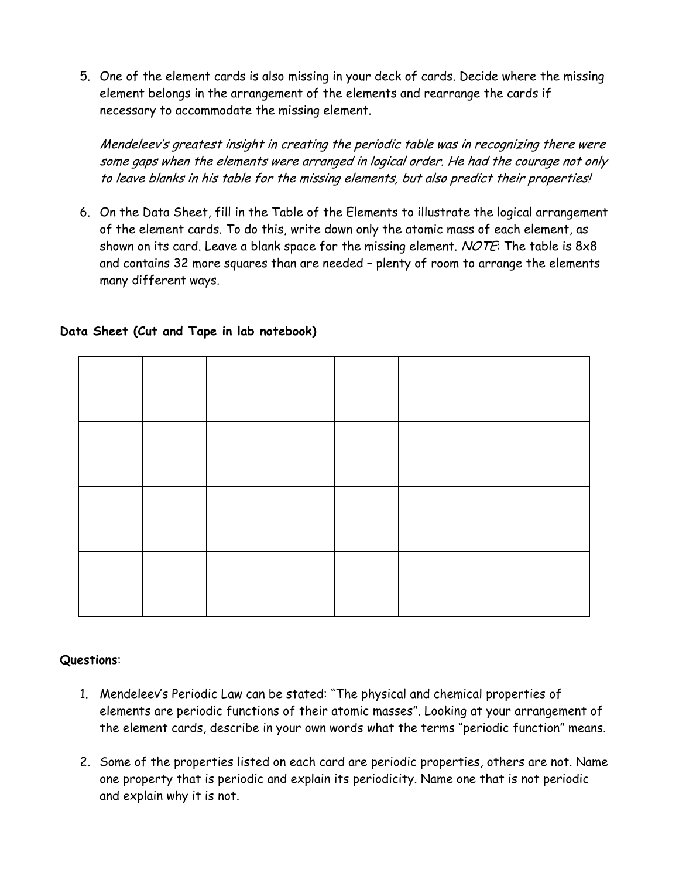5. One of the element cards is also missing in your deck of cards. Decide where the missing element belongs in the arrangement of the elements and rearrange the cards if necessary to accommodate the missing element.

Mendeleev's greatest insight in creating the periodic table was in recognizing there were some gaps when the elements were arranged in logical order. He had the courage not only to leave blanks in his table for the missing elements, but also predict their properties!

6. On the Data Sheet, fill in the Table of the Elements to illustrate the logical arrangement of the element cards. To do this, write down only the atomic mass of each element, as shown on its card. Leave a blank space for the missing element. NOTE: The table is  $8\times8$ and contains 32 more squares than are needed – plenty of room to arrange the elements many different ways.

## **Data Sheet (Cut and Tape in lab notebook)**

## **Questions**:

- 1. Mendeleev's Periodic Law can be stated: "The physical and chemical properties of elements are periodic functions of their atomic masses". Looking at your arrangement of the element cards, describe in your own words what the terms "periodic function" means.
- 2. Some of the properties listed on each card are periodic properties, others are not. Name one property that is periodic and explain its periodicity. Name one that is not periodic and explain why it is not.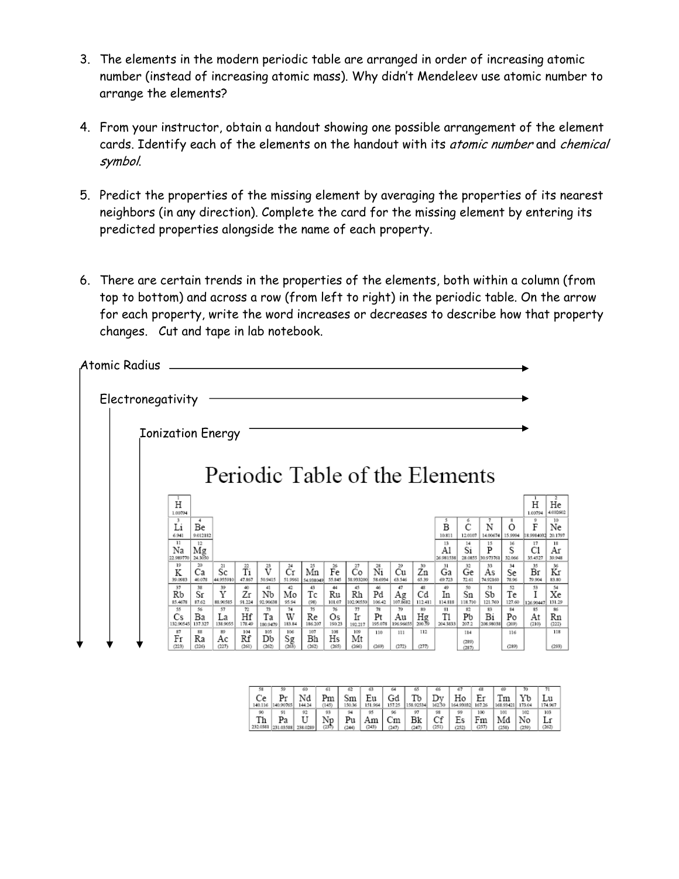- 3. The elements in the modern periodic table are arranged in order of increasing atomic number (instead of increasing atomic mass). Why didn't Mendeleev use atomic number to arrange the elements?
- 4. From your instructor, obtain a handout showing one possible arrangement of the element cards. Identify each of the elements on the handout with its atomic number and chemical symbol.
- 5. Predict the properties of the missing element by averaging the properties of its nearest neighbors (in any direction). Complete the card for the missing element by entering its predicted properties alongside the name of each property.
- 6. There are certain trends in the properties of the elements, both within a column (from top to bottom) and across a row (from left to right) in the periodic table. On the arrow for each property, write the word increases or decreases to describe how that property changes. Cut and tape in lab notebook.

| Atomic Radius |                          |                         |                                |                                        |                                              |                                    |                                     |                              |                              |                     |                                   |                                  |                               |                       |                       |                          |                      |                     |
|---------------|--------------------------|-------------------------|--------------------------------|----------------------------------------|----------------------------------------------|------------------------------------|-------------------------------------|------------------------------|------------------------------|---------------------|-----------------------------------|----------------------------------|-------------------------------|-----------------------|-----------------------|--------------------------|----------------------|---------------------|
|               | Electronegativity        |                         |                                |                                        |                                              |                                    |                                     |                              |                              |                     |                                   |                                  |                               |                       |                       |                          |                      |                     |
|               | <b>Ionization Energy</b> |                         |                                |                                        |                                              |                                    |                                     |                              |                              |                     |                                   |                                  |                               |                       |                       |                          |                      |                     |
|               |                          |                         | Periodic Table of the Elements |                                        |                                              |                                    |                                     |                              |                              |                     |                                   |                                  |                               |                       |                       |                          |                      |                     |
|               | Η<br>1.00794             |                         |                                |                                        |                                              |                                    |                                     |                              |                              |                     |                                   |                                  |                               |                       |                       |                          | H<br>1.00794         | He<br>4.002602      |
|               | 3<br>Li<br>6.941         | 4<br>Be<br>9.012182     |                                |                                        |                                              |                                    |                                     |                              |                              |                     |                                   |                                  | 5<br>$\overline{B}$<br>10.811 | 6<br>C<br>12.0107     | 7<br>N<br>14.00674    | 8<br>$\Omega$<br>15.9994 | 9<br>F<br>8.998403   | 10<br>Ne<br>20.1797 |
|               | 11<br>Na<br>22 989770    | 12<br>$M_{g}_{24,3050}$ |                                |                                        |                                              |                                    |                                     |                              |                              |                     |                                   |                                  | 13<br>Al<br>26.981538         | 14<br>Si<br>28.0855   | 15<br>P<br>30.973761  | 16<br>S<br>32.066        | 17<br>C1<br>35.4527  | 18<br>Aг<br>39.948  |
|               | 19<br>K<br>39.0983       | 20<br>Сa<br>40.078      | 21<br>Sc<br>44.955910          | $\tilde{\vec{\mathrm{T}}}$ i<br>47.867 | $\smash{\stackrel{23}{\text{V}}}$<br>50.9415 | $\mathring{C}^\sharp$ r<br>51.9961 | $\mathop{\rm Mn}^{25}$<br>54.938049 | $\mathring{F}^5$ e<br>55.845 | $\tilde{c}_o^2$<br>58.933200 | 28<br>Ñi<br>58.6934 | 29<br>Сu<br>63.546                | $\mathring{Z}_{n}^{30}$<br>65.39 | 31<br>Ga<br>69.723            | 32<br>Ge<br>72.61     | 33<br>As<br>74.92160  | 34<br>Se<br>78.96        | 35<br>Br<br>79.904   | 36<br>Кr<br>83.80   |
|               | 37<br>Rb<br>85.4678      | 38<br>Sr<br>87.62       | 39<br>Y<br>88.90585            | 40<br>Zr<br>91.224                     | 41<br>Nb<br>92.90638                         | 42<br>Mo<br>95.94                  | 43<br>Тc<br>(98)                    | 44<br>Ru<br>101.07           | 45<br>Rh<br>02.90550         | 46<br>Pd<br>106.42  | 47<br>$A_{g}$ <sub>107.8682</sub> | 48<br>Cd<br>112.411              | 49<br>In<br>114.818           | 50<br>Sn<br>118.710   | 51<br>Sb<br>121.760   | 52<br>Te<br>127.60       | 53<br>I<br>126.90447 | 54<br>Xe<br>131 29  |
|               | 55<br>Cs<br>132,90545    | 56<br>Bа<br>137.327     | 57<br>La<br>138.9055           | 72<br>Hf<br>178.49                     | 73<br>Ta<br>180.9479                         | 74<br>W<br>183.84                  | 75<br>Re<br>186.207                 | 76<br>Os<br>190.23           | 77<br>Ir<br>192.217          | 78<br>Pt<br>195.078 | 79<br>Αu<br>196.96655             | 80<br>$Hg_{200}$                 | 31<br>T1<br>204.3833          | 82<br>Pb<br>207.2     | 83<br>Bi<br>208.98038 | 84<br>Po<br>(209)        | 85<br>At<br>(210)    | 86<br>Rn<br>(222)   |
|               | 87<br>Fr<br>(223)        | 88<br>Ra<br>(226)       | 89<br>Aс<br>(227)              | 104<br>Rf<br>(261)                     | 105<br>Db<br>(262)                           | 106<br>$S_{g}$<br>(263)            | 107<br>Bh<br>(262)                  | 108<br>Hs<br>(265)           | 109<br>Mt<br>(266)           | 110<br>(269)        | 111<br>(272)                      | 112<br>(277)                     |                               | 114<br>(289)<br>(287) |                       | 116<br>(239)             |                      | 118<br>(293)        |

|               |                    | 60       | 61         |             | 63            | 64           | 60        | oв           | 67              | cs.          | 66              |              |               |
|---------------|--------------------|----------|------------|-------------|---------------|--------------|-----------|--------------|-----------------|--------------|-----------------|--------------|---------------|
| Сe<br>140.116 | Рr<br>140.90765    | 144.24   | Pm<br>145) | Sm<br>50.36 | Εu<br>151.964 | Gd<br>157.25 | 158.92534 | Dv<br>162.50 | Ho<br>164,93032 | Er<br>167.26 | Tm<br>168.93421 | Yb<br>173.04 | Lu<br>174.967 |
| 90            | 91                 | 92       | 93         | 94          | 95            | 96           | 97        | 98           | 99              | 100          | 101             | 102          | 103           |
| Th            | Pa                 |          |            | Pu          | łш            | Сm           | Bk        | r c<br>◡⊥    | Es              | Fm           | Md              | No           | Lr            |
|               | 232.0381 231.03588 | 238.0289 | (237)      | 2440        | (243)         | (247         | 247       | (251)        | (252)           | (257)        | (258            | (259)        | 262)          |